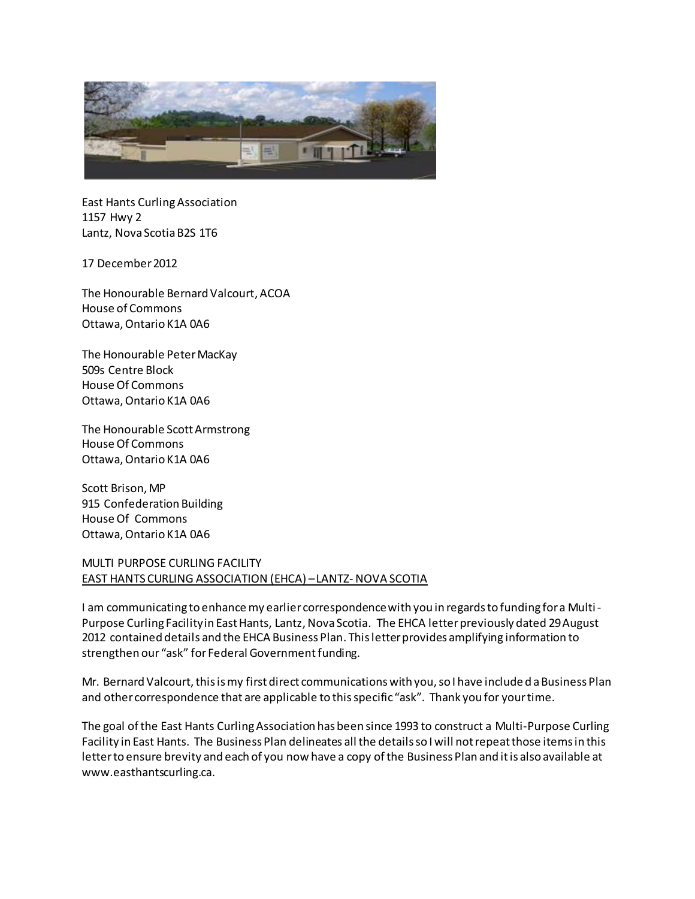

East Hants Curling Association 1157 Hwy 2 Lantz, Nova Scotia B2S 1T6

17 December 2012

The Honourable Bernard Valcourt, ACOA House of Commons Ottawa, Ontario K1A 0A6

The Honourable Peter MacKay 509s Centre Block House Of Commons Ottawa, Ontario K1A 0A6

The Honourable Scott Armstrong House Of Commons Ottawa, Ontario K1A 0A6

Scott Brison, MP 915 Confederation Building House Of Commons Ottawa, Ontario K1A 0A6

## MULTI PURPOSE CURLING FACILITY EAST HANTS CURLING ASSOCIATION (EHCA) –LANTZ-NOVA SCOTIA

I am communicating to enhance my earlier correspondence with you in regards to funding for a Multi-Purpose Curling Facility in East Hants, Lantz, Nova Scotia. The EHCA letter previously dated 29 August 2012 contained details and the EHCA Business Plan. This letter provides amplifying information to strengthen our "ask" for Federal Government funding.

Mr. Bernard Valcourt, this is my first direct communications with you, so I have included a Business Plan and other correspondence that are applicable to this specific "ask". Thank you for your time.

The goal of the East Hants Curling Association has been since 1993 to construct a Multi-Purpose Curling Facility in East Hants. The Business Plan delineates all the details so I will not repeat those items in this letter to ensure brevity and each of you now have a copy of the Business Plan and it is also available at www.easthantscurling.ca.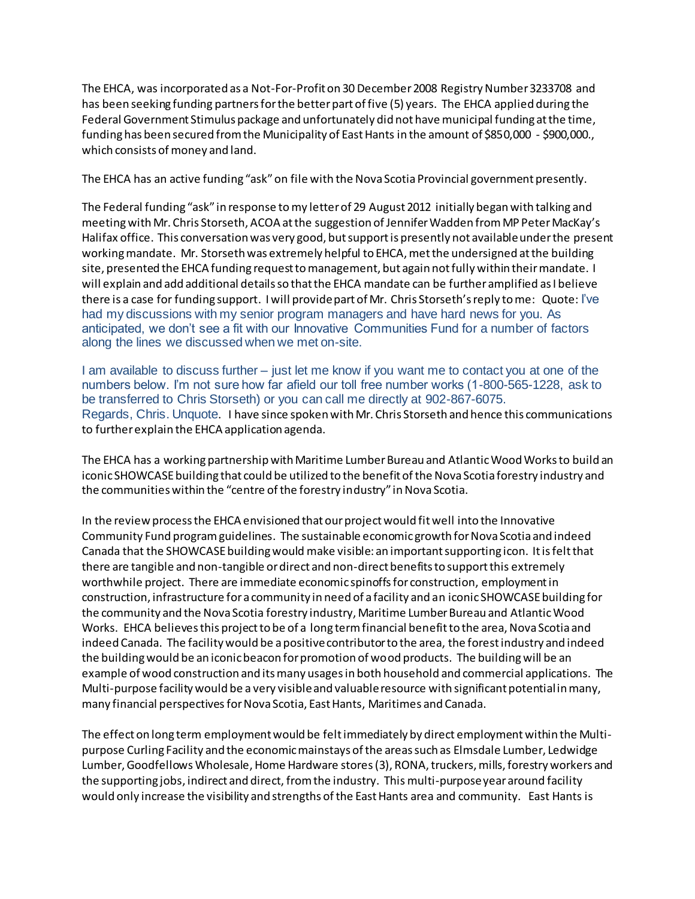The EHCA, was incorporated as a Not-For-Profit on 30 December 2008 Registry Number 3233708 and has been seeking funding partners for the better part of five (5) years. The EHCA applied during the Federal Government Stimulus package and unfortunately did not have municipal funding at the time, funding has been secured from the Municipality of East Hants in the amount of \$850,000 - \$900,000., which consists of money and land.

The EHCA has an active funding "ask" on file with the Nova Scotia Provincial government presently.

The Federal funding "ask" in response to my letter of 29 August 2012 initially began with talking and meetingwith Mr. Chris Storseth, ACOA at the suggestion of Jennifer Wadden from MP Peter MacKay's Halifax office. This conversation was very good, but support is presently not available under the present working mandate. Mr. Storseth was extremely helpful to EHCA, met the undersigned at the building site, presented the EHCA funding request to management, but again not fully within their mandate. I will explain and add additional details so that the EHCA mandate can be further amplified as I believe there is a case for funding support. I will provide part of Mr. Chris Storseth's reply to me: Quote: I've had my discussions with my senior program managers and have hard news for you. As anticipated, we don't see a fit with our Innovative Communities Fund for a number of factors along the lines we discussed when we met on-site.

I am available to discuss further – just let me know if you want me to contact you at one of the numbers below. I'm not sure how far afield our toll free number works (1-800-565-1228, ask to be transferred to Chris Storseth) or you can call me directly at 902-867-6075. Regards, Chris. Unquote. I have since spoken with Mr. Chris Storseth and hence this communications to further explain the EHCA application agenda.

The EHCA has a working partnership with Maritime Lumber Bureau and Atlantic Wood Works to build an iconic SHOWCASE building that could be utilized to the benefit of the Nova Scotia forestry industry and the communities within the "centre of the forestry industry" in Nova Scotia.

In the review process the EHCA envisioned that our project would fit well into the Innovative Community Fund program guidelines. The sustainable economic growth for Nova Scotia and indeed Canada that the SHOWCASE building would make visible: an important supporting icon. It is felt that there are tangible and non-tangible or direct and non-direct benefits to support this extremely worthwhile project. There are immediate economic spinoffs for construction, employment in construction, infrastructure for a community in need of a facility and an iconic SHOWCASE building for the community and the Nova Scotia forestry industry, Maritime Lumber Bureau and Atlantic Wood Works. EHCA believes this project to be of a long term financial benefit to the area, Nova Scotia and indeed Canada. The facility would be a positive contributor to the area, the forest industry and indeed the building would be an iconic beacon for promotion of wood products. The building will be an example of wood construction and its many usages in both household and commercial applications. The Multi-purpose facility would be a very visible and valuable resource with significant potential in many, many financial perspectives for Nova Scotia, East Hants, Maritimes and Canada.

The effect on long term employment would be feltimmediately by direct employment within the Multipurpose Curling Facility and the economic mainstays of the areas such as Elmsdale Lumber, Ledwidge Lumber, Goodfellows Wholesale, Home Hardware stores(3), RONA, truckers, mills, forestry workers and the supporting jobs, indirect and direct, from the industry. This multi-purpose year around facility would only increase the visibility and strengths of the East Hants area and community. East Hants is